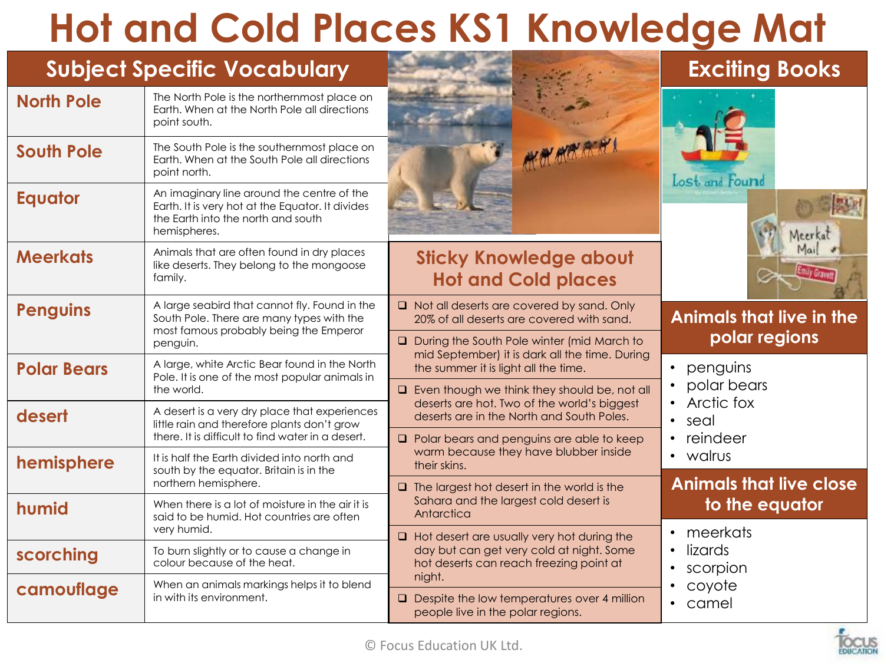### **Hot and Cold Places KS1 Knowledge Mat**

| <b>Subject Specific Vocabulary</b>                                                                                    |                                                                                                                                                      |                                                                                                       | <b>Exciting Books</b>           |
|-----------------------------------------------------------------------------------------------------------------------|------------------------------------------------------------------------------------------------------------------------------------------------------|-------------------------------------------------------------------------------------------------------|---------------------------------|
| <b>North Pole</b>                                                                                                     | The North Pole is the northernmost place on<br>Earth. When at the North Pole all directions<br>point south.                                          |                                                                                                       |                                 |
| <b>South Pole</b>                                                                                                     | The South Pole is the southernmost place on<br>Earth. When at the South Pole all directions<br>point north.                                          |                                                                                                       | Lost and Found                  |
| <b>Equator</b>                                                                                                        | An imaginary line around the centre of the<br>Earth. It is very hot at the Equator. It divides<br>the Earth into the north and south<br>hemispheres. |                                                                                                       | Meerka                          |
| <b>Meerkats</b>                                                                                                       | Animals that are often found in dry places<br>like deserts. They belong to the mongoose<br>family.                                                   | <b>Sticky Knowledge about</b><br><b>Hot and Cold places</b>                                           |                                 |
| <b>Penguins</b>                                                                                                       | A large seabird that cannot fly. Found in the<br>South Pole. There are many types with the<br>most famous probably being the Emperor                 | $\Box$ Not all deserts are covered by sand. Only<br>20% of all deserts are covered with sand.         | <b>Animals that live in the</b> |
|                                                                                                                       | penguin.                                                                                                                                             | <b>Q</b> During the South Pole winter (mid March to<br>mid September) it is dark all the time. During | polar regions                   |
| A large, white Arctic Bear found in the North<br><b>Polar Bears</b><br>Pole. It is one of the most popular animals in |                                                                                                                                                      | the summer it is light all the time.                                                                  | • penguins                      |
|                                                                                                                       | the world.                                                                                                                                           | $\Box$ Even though we think they should be, not all<br>deserts are hot. Two of the world's biggest    | polar bears<br>• Arctic fox     |
| desert                                                                                                                | A desert is a very dry place that experiences<br>little rain and therefore plants don't grow                                                         | deserts are in the North and South Poles.                                                             | seal<br>$\bullet$               |
|                                                                                                                       | there. It is difficult to find water in a desert.                                                                                                    | $\Box$ Polar bears and penguins are able to keep<br>warm because they have blubber inside             | reindeer                        |
| hemisphere                                                                                                            | It is half the Earth divided into north and<br>south by the equator. Britain is in the                                                               | their skins.                                                                                          | • walrus                        |
|                                                                                                                       | northern hemisphere.                                                                                                                                 | $\Box$ The largest hot desert in the world is the                                                     | <b>Animals that live close</b>  |
| humid                                                                                                                 | When there is a lot of moisture in the air it is<br>said to be humid. Hot countries are often                                                        | Sahara and the largest cold desert is<br>Antarctica                                                   | to the equator                  |
|                                                                                                                       | very humid.                                                                                                                                          | $\Box$ Hot desert are usually very hot during the                                                     | • meerkats                      |
| scorching                                                                                                             | To burn slightly or to cause a change in<br>colour because of the heat.                                                                              | day but can get very cold at night. Some<br>hot deserts can reach freezing point at                   | lizards<br>• scorpion           |
| camouflage                                                                                                            | When an animals markings helps it to blend                                                                                                           | night.                                                                                                | • coyote                        |
|                                                                                                                       | in with its environment.                                                                                                                             | $\Box$ Despite the low temperatures over 4 million<br>people live in the polar regions.               | • camel                         |

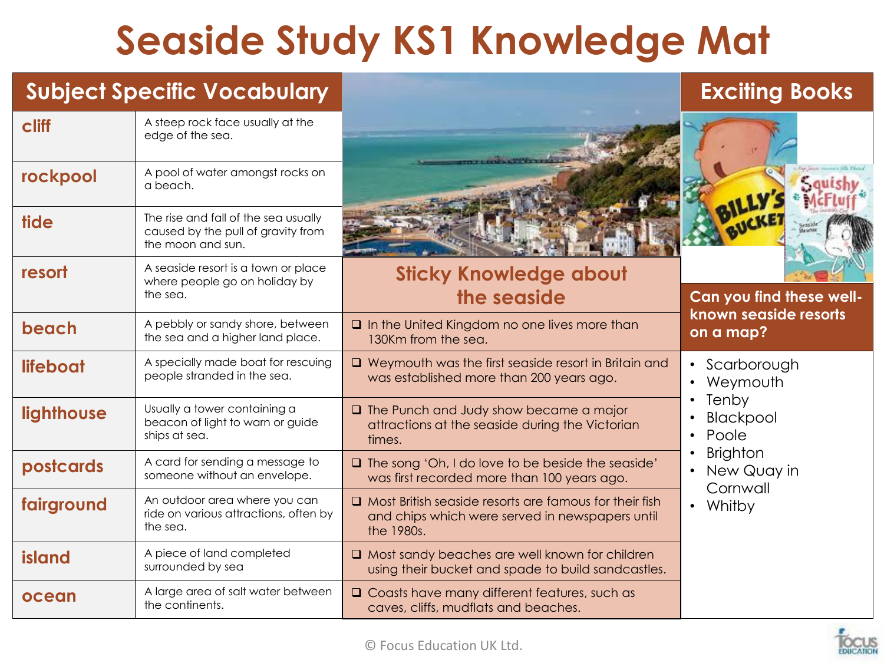## **Seaside Study KS1 Knowledge Mat**

#### **Subject Specific Vocabulary Exciting Books**

**cliff** A steep rock face usually at the edge of the sea.

**rockpool** A pool of water amongst rocks on a beach.

**tide** The rise and fall of the sea usually

**resort** A seaside resort is a town or place

the sea.

the moon and sun.

caused by the pull of gravity from

where people go on holiday by





#### **Sticky Knowledge about the seaside Can you find these well-**

| beach      | A pebbly or sandy shore, between<br>the sea and a higher land place.               | $\Box$ In the United Kingdom no one lives more than<br>130Km from the sea.                                                     | known seaside resorts<br>on a map?                    |
|------------|------------------------------------------------------------------------------------|--------------------------------------------------------------------------------------------------------------------------------|-------------------------------------------------------|
| lifeboat   | A specially made boat for rescuing<br>people stranded in the sea.                  | $\Box$ Weymouth was the first seaside resort in Britain and<br>was established more than 200 years ago.                        | • Scarborough<br>Weymouth<br>$\bullet$                |
| lighthouse | Usually a tower containing a<br>beacon of light to warn or guide<br>ships at sea.  | $\Box$ The Punch and Judy show became a major<br>attractions at the seaside during the Victorian<br>times.                     | Tenby<br>$\bullet$<br>Blackpool<br>Poole<br>$\bullet$ |
| postcards  | A card for sending a message to<br>someone without an envelope.                    | $\Box$ The song 'Oh, I do love to be beside the seaside'<br>was first recorded more than 100 years ago.                        | <b>Brighton</b><br>New Quay in<br>Cornwall            |
| fairground | An outdoor area where you can<br>ride on various attractions, often by<br>the sea. | $\Box$ Most British seaside resorts are famous for their fish<br>and chips which were served in newspapers until<br>the 1980s. | Whitby                                                |
| island     | A piece of land completed<br>surrounded by sea                                     | $\Box$ Most sandy beaches are well known for children<br>using their bucket and spade to build sandcastles.                    |                                                       |
| ocean      | A large area of salt water between<br>the continents.                              | $\Box$ Coasts have many different features, such as<br>caves, cliffs, mudflats and beaches.                                    |                                                       |
|            |                                                                                    |                                                                                                                                |                                                       |

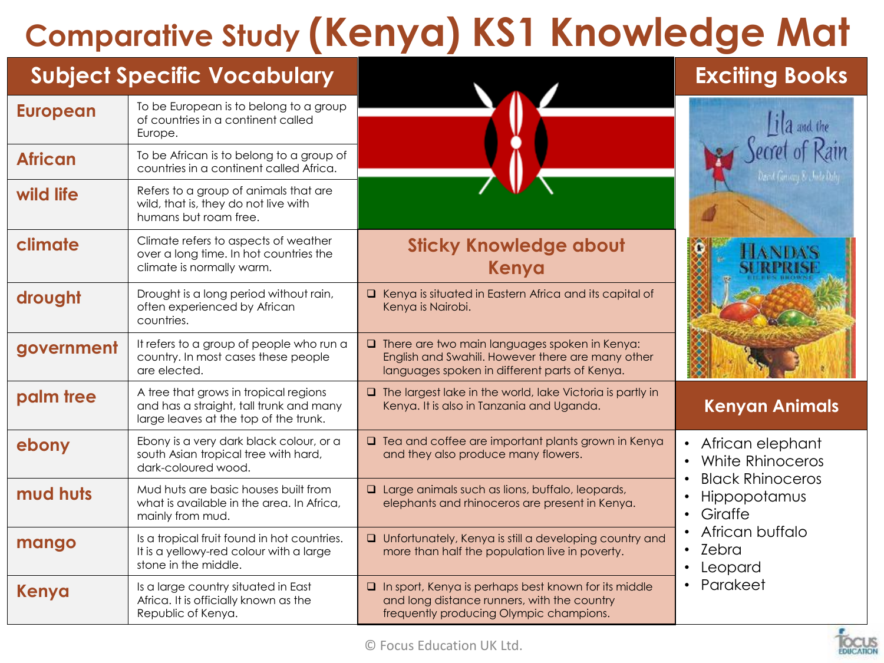## **Comparative Study (Kenya) KS1 Knowledge Mat**

| <b>Subject Specific Vocabulary</b> |                                                                                                                           |                                                                                                                                                            | <b>Exciting Books</b>                                           |
|------------------------------------|---------------------------------------------------------------------------------------------------------------------------|------------------------------------------------------------------------------------------------------------------------------------------------------------|-----------------------------------------------------------------|
| <b>European</b>                    | To be European is to belong to a group<br>of countries in a continent called<br>Europe.                                   |                                                                                                                                                            | $i _a$ and the                                                  |
| <b>African</b>                     | To be African is to belong to a group of<br>countries in a continent called Africa.                                       |                                                                                                                                                            |                                                                 |
| wild life                          | Refers to a group of animals that are<br>wild, that is, they do not live with<br>humans but roam free.                    |                                                                                                                                                            |                                                                 |
| climate                            | Climate refers to aspects of weather<br>over a long time. In hot countries the<br>climate is normally warm.               | <b>Sticky Knowledge about</b><br>Kenya                                                                                                                     |                                                                 |
| drought                            | Drought is a long period without rain,<br>often experienced by African<br>countries.                                      | □ Kenya is situated in Eastern Africa and its capital of<br>Kenya is Nairobi.                                                                              |                                                                 |
| government                         | It refers to a group of people who run a<br>country. In most cases these people<br>are elected.                           | $\Box$ There are two main languages spoken in Kenya:<br>English and Swahili. However there are many other<br>languages spoken in different parts of Kenya. |                                                                 |
| palm tree                          | A tree that grows in tropical regions<br>and has a straight, tall trunk and many<br>large leaves at the top of the trunk. | $\Box$ The largest lake in the world, lake Victoria is partly in<br>Kenya. It is also in Tanzania and Uganda.                                              | <b>Kenyan Animals</b>                                           |
| ebony                              | Ebony is a very dark black colour, or a<br>south Asian tropical tree with hard,<br>dark-coloured wood.                    | $\Box$ Tea and coffee are important plants grown in Kenya<br>and they also produce many flowers.                                                           | African elephant<br>White Rhinoceros<br><b>Black Rhinoceros</b> |
| mud huts                           | Mud huts are basic houses built from<br>what is available in the area. In Africa,<br>mainly from mud.                     | $\Box$ Large animals such as lions, buffalo, leopards,<br>elephants and rhinoceros are present in Kenya.                                                   | Hippopotamus<br>Giraffe<br>$\bullet$                            |
| mango                              | Is a tropical fruit found in hot countries.<br>It is a yellowy-red colour with a large<br>stone in the middle.            | <b>Q</b> Unfortunately, Kenya is still a developing country and<br>more than half the population live in poverty.                                          | African buffalo<br>Zebra<br>$\bullet$<br>Leopard                |
| Kenya                              | Is a large country situated in East<br>Africa. It is officially known as the<br>Republic of Kenya.                        | $\Box$ In sport, Kenya is perhaps best known for its middle<br>and long distance runners, with the country<br>frequently producing Olympic champions.      | Parakeet                                                        |

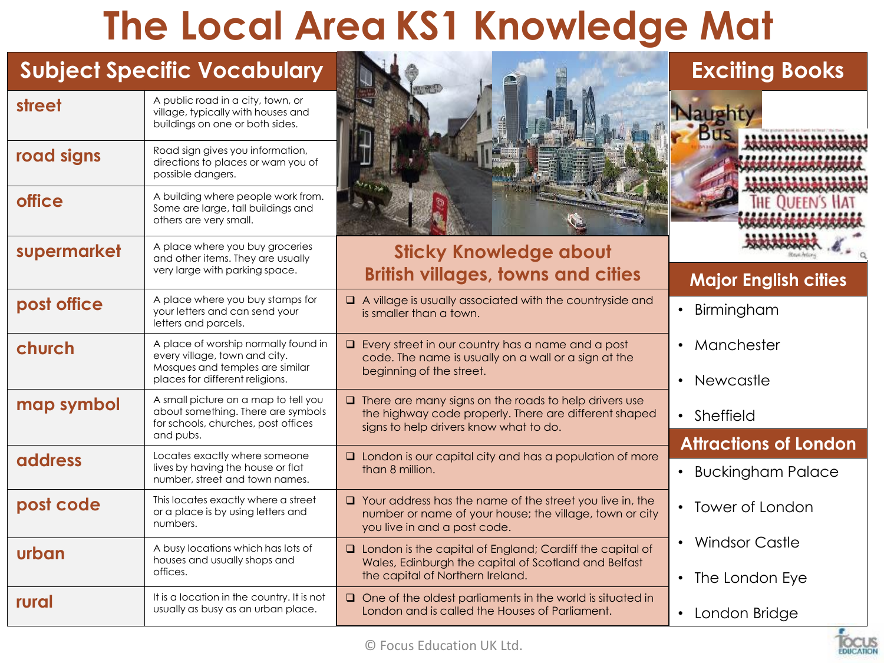#### **The Local Area KS1 Knowledge Mat**

|                | <b>Subject Specific Vocabulary</b>                                                                                                          |                                                                                                                                                                 | <b>Exciting Books</b>                                                 |
|----------------|---------------------------------------------------------------------------------------------------------------------------------------------|-----------------------------------------------------------------------------------------------------------------------------------------------------------------|-----------------------------------------------------------------------|
| street         | A public road in a city, town, or<br>village, typically with houses and<br>buildings on one or both sides.                                  |                                                                                                                                                                 |                                                                       |
| road signs     | Road sign gives you information,<br>directions to places or warn you of<br>possible dangers.                                                |                                                                                                                                                                 |                                                                       |
| <b>office</b>  | A building where people work from.<br>Some are large, tall buildings and<br>others are very small.                                          |                                                                                                                                                                 |                                                                       |
| supermarket    | A place where you buy groceries<br>and other items. They are usually<br>very large with parking space.                                      | <b>Sticky Knowledge about</b><br><b>British villages, towns and cities</b>                                                                                      | <b>Major English cities</b>                                           |
| post office    | A place where you buy stamps for<br>your letters and can send your<br>letters and parcels.                                                  | A village is usually associated with the countryside and<br>is smaller than a town.                                                                             | Birmingham<br>$\bullet$                                               |
| church         | A place of worship normally found in<br>every village, town and city.<br>Mosques and temples are similar<br>places for different religions. | $\Box$ Every street in our country has a name and a post<br>code. The name is usually on a wall or a sign at the<br>beginning of the street.                    | Manchester<br>$\bullet$<br>• Newcastle                                |
| map symbol     | A small picture on a map to tell you<br>about something. There are symbols<br>for schools, churches, post offices<br>and pubs.              | $\Box$ There are many signs on the roads to help drivers use<br>the highway code properly. There are different shaped<br>signs to help drivers know what to do. | • Sheffield                                                           |
| <b>address</b> | Locates exactly where someone<br>lives by having the house or flat<br>number, street and town names.                                        | $\Box$ London is our capital city and has a population of more<br>than 8 million.                                                                               | <b>Attractions of London</b><br><b>Buckingham Palace</b><br>$\bullet$ |
| post code      | This locates exactly where a street<br>or a place is by using letters and<br>numbers.                                                       | $\Box$ Your address has the name of the street you live in, the<br>number or name of your house; the village, town or city<br>you live in and a post code.      | • Tower of London                                                     |
| urban          | A busy locations which has lots of<br>houses and usually shops and<br>offices.                                                              | $\Box$ London is the capital of England; Cardiff the capital of<br>Wales, Edinburgh the capital of Scotland and Belfast<br>the capital of Northern Ireland.     | • Windsor Castle<br>• The London Eye                                  |
| rural          | It is a location in the country. It is not<br>usually as busy as an urban place.                                                            | $\Box$ One of the oldest parliaments in the world is situated in<br>London and is called the Houses of Parliament.                                              | • London Bridge                                                       |

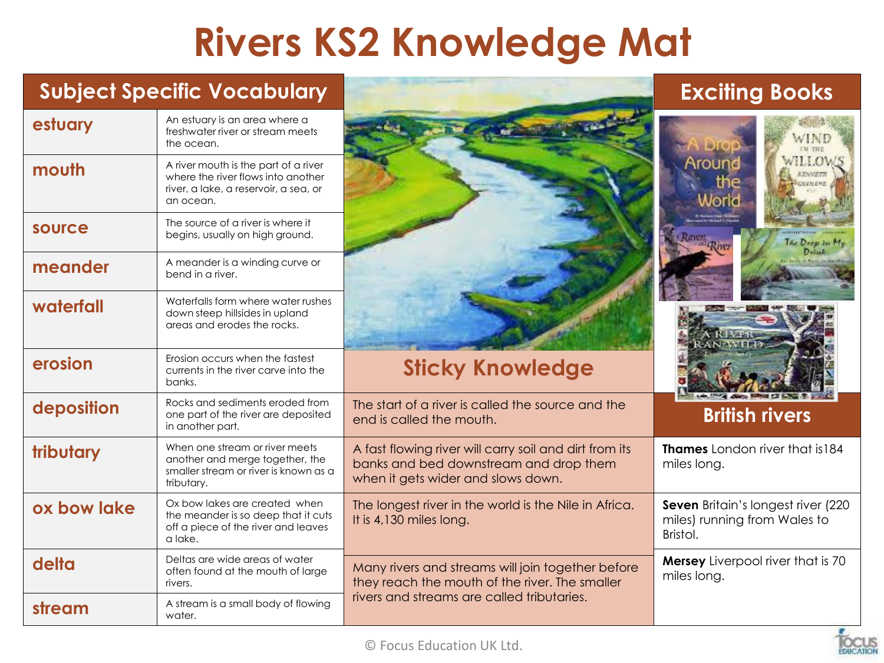### **Rivers KS2 Knowledge Mat**

|             | <b>Subject Specific Vocabulary</b>                                                                                               |                                                                                                                                        | <b>Exciting Books</b>                                                          |
|-------------|----------------------------------------------------------------------------------------------------------------------------------|----------------------------------------------------------------------------------------------------------------------------------------|--------------------------------------------------------------------------------|
| estuary     | An estuary is an area where a<br>freshwater river or stream meets<br>the ocean.                                                  |                                                                                                                                        | WIND<br>IN THE                                                                 |
| mouth       | A river mouth is the part of a river<br>where the river flows into another<br>river, a lake, a reservoir, a sea, or<br>an ocean. |                                                                                                                                        | VIIIOW<br>Arounc<br>the                                                        |
| source      | The source of a river is where it<br>begins, usually on high ground.                                                             |                                                                                                                                        | The Drew In M.                                                                 |
| meander     | A meander is a winding curve or<br>bend in a river.                                                                              |                                                                                                                                        |                                                                                |
| waterfall   | Waterfalls form where water rushes<br>down steep hillsides in upland<br>areas and erodes the rocks.                              |                                                                                                                                        |                                                                                |
| erosion     | Erosion occurs when the fastest<br>currents in the river carve into the<br>banks.                                                | <b>Sticky Knowledge</b>                                                                                                                |                                                                                |
| deposition  | Rocks and sediments eroded from<br>one part of the river are deposited<br>in another part.                                       | The start of a river is called the source and the<br>end is called the mouth.                                                          | <b>British rivers</b>                                                          |
| tributary   | When one stream or river meets<br>another and merge together, the<br>smaller stream or river is known as a<br>tributary.         | A fast flowing river will carry soil and dirt from its<br>banks and bed downstream and drop them<br>when it gets wider and slows down. | <b>Thames</b> London river that is 184<br>miles long.                          |
| ox bow lake | Ox bow lakes are created when<br>the meander is so deep that it cuts<br>off a piece of the river and leaves<br>a lake.           | The longest river in the world is the Nile in Africa.<br>It is 4,130 miles long.                                                       | Seven Britain's longest river (220<br>miles) running from Wales to<br>Bristol. |
| delta       | Deltas are wide areas of water<br>often found at the mouth of large<br>rivers.                                                   | Many rivers and streams will join together before<br>they reach the mouth of the river. The smaller                                    | <b>Mersey</b> Liverpool river that is 70<br>miles long.                        |
| stream      | A stream is a small body of flowing<br>water.                                                                                    | rivers and streams are called tributaries.                                                                                             |                                                                                |

**FDUCATION**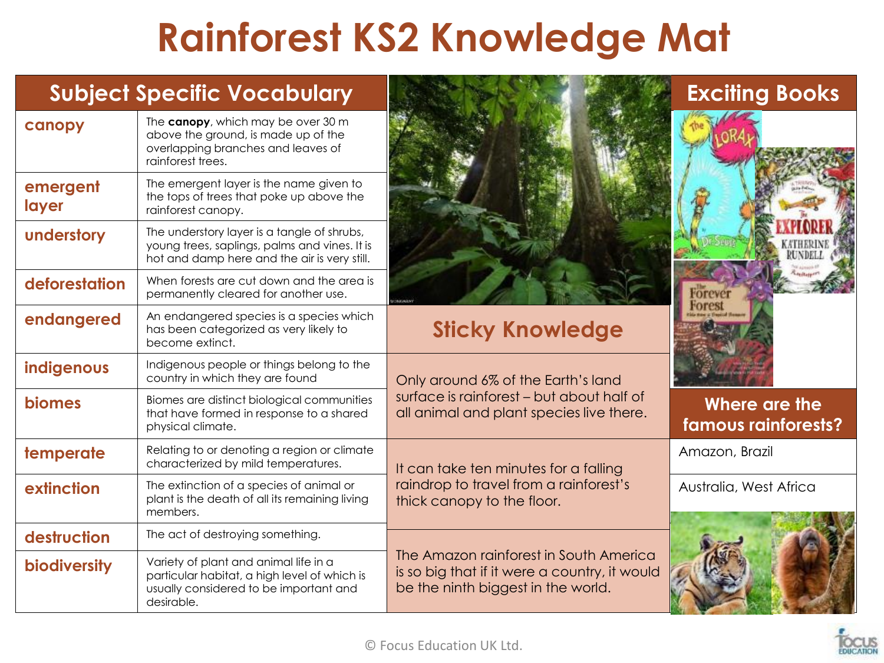### **Rainforest KS2 Knowledge Mat**

| canopy              | The canopy, which may be over 30 m<br>above the ground, is made up of the<br>overlapping branches and leaves of<br>rainforest trees.          |                                                                                                                               |  |
|---------------------|-----------------------------------------------------------------------------------------------------------------------------------------------|-------------------------------------------------------------------------------------------------------------------------------|--|
| emergent<br>layer   | The emergent layer is the name given to<br>the tops of trees that poke up above the<br>rainforest canopy.                                     |                                                                                                                               |  |
| understory          | The understory layer is a tangle of shrubs,<br>young trees, saplings, palms and vines. It is<br>hot and damp here and the air is very still.  |                                                                                                                               |  |
| deforestation       | When forests are cut down and the area is<br>permanently cleared for another use.                                                             |                                                                                                                               |  |
| endangered          | An endangered species is a species which<br>has been categorized as very likely to<br>become extinct.                                         | <b>Sticky Knowledge</b>                                                                                                       |  |
| indigenous          | Indigenous people or things belong to the<br>country in which they are found                                                                  | Only around 6% of the Earth's land                                                                                            |  |
| <b>biomes</b>       | Biomes are distinct biological communities<br>that have formed in response to a shared<br>physical climate.                                   | surface is rainforest - but about half of<br>all animal and plant species live there.                                         |  |
| temperate           | Relating to or denoting a region or climate<br>characterized by mild temperatures.                                                            | It can take ten minutes for a falling                                                                                         |  |
| extinction          | The extinction of a species of animal or<br>plant is the death of all its remaining living<br>members.                                        | raindrop to travel from a rainforest's<br>thick canopy to the floor.                                                          |  |
| destruction         | The act of destroying something.                                                                                                              |                                                                                                                               |  |
| <b>biodiversity</b> | Variety of plant and animal life in a<br>particular habitat, a high level of which is<br>usually considered to be important and<br>desirable. | The Amazon rainforest in South America<br>is so big that if it were a country, it would<br>be the ninth biggest in the world. |  |







**Where are the famous rainforests?**

Amazon, Brazil

Australia, West Africa



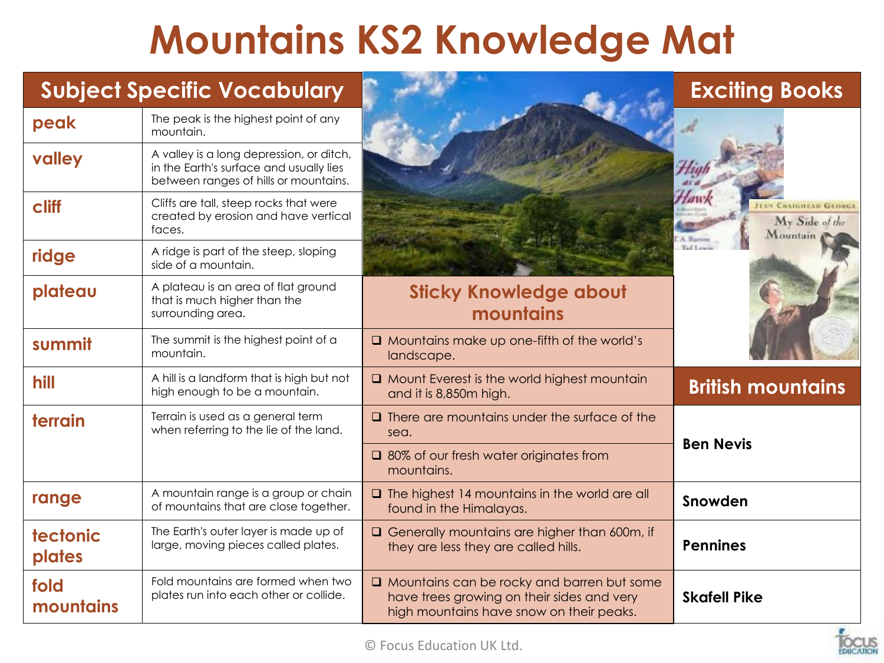### **Mountains KS2 Knowledge Mat**

|                    | <b>Subject Specific Vocabulary</b>                                                                                           |                                                                                                                                             | <b>Exciting Books</b>                                |
|--------------------|------------------------------------------------------------------------------------------------------------------------------|---------------------------------------------------------------------------------------------------------------------------------------------|------------------------------------------------------|
| peak               | The peak is the highest point of any<br>mountain.                                                                            |                                                                                                                                             |                                                      |
| valley             | A valley is a long depression, or ditch,<br>in the Earth's surface and usually lies<br>between ranges of hills or mountains. |                                                                                                                                             |                                                      |
| cliff              | Cliffs are tall, steep rocks that were<br>created by erosion and have vertical<br>faces.                                     |                                                                                                                                             | <b>BAIGHEAD GEORGI</b><br>My Side of the<br>Mountain |
| ridge              | A ridge is part of the steep, sloping<br>side of a mountain.                                                                 |                                                                                                                                             |                                                      |
| plateau            | A plateau is an area of flat ground<br>that is much higher than the<br>surrounding area.                                     | <b>Sticky Knowledge about</b><br>mountains                                                                                                  |                                                      |
| summit             | The summit is the highest point of a<br>mountain.                                                                            | $\Box$ Mountains make up one-fifth of the world's<br>landscape.                                                                             |                                                      |
| hill               | A hill is a landform that is high but not<br>high enough to be a mountain.                                                   | Mount Everest is the world highest mountain<br>and it is 8,850m high.                                                                       | <b>British mountains</b>                             |
| terrain            | Terrain is used as a general term<br>when referring to the lie of the land.                                                  | $\Box$ There are mountains under the surface of the<br>sea.                                                                                 |                                                      |
|                    |                                                                                                                              | □ 80% of our fresh water originates from<br>mountains.                                                                                      | <b>Ben Nevis</b>                                     |
| range              | A mountain range is a group or chain<br>of mountains that are close together.                                                | $\Box$ The highest 14 mountains in the world are all<br>found in the Himalayas.                                                             | Snowden                                              |
| tectonic<br>plates | The Earth's outer layer is made up of<br>large, moving pieces called plates.                                                 | Generally mountains are higher than 600m, if<br>they are less they are called hills.                                                        | <b>Pennines</b>                                      |
| fold<br>mountains  | Fold mountains are formed when two<br>plates run into each other or collide.                                                 | $\Box$ Mountains can be rocky and barren but some<br>have trees growing on their sides and very<br>high mountains have snow on their peaks. | <b>Skafell Pike</b>                                  |

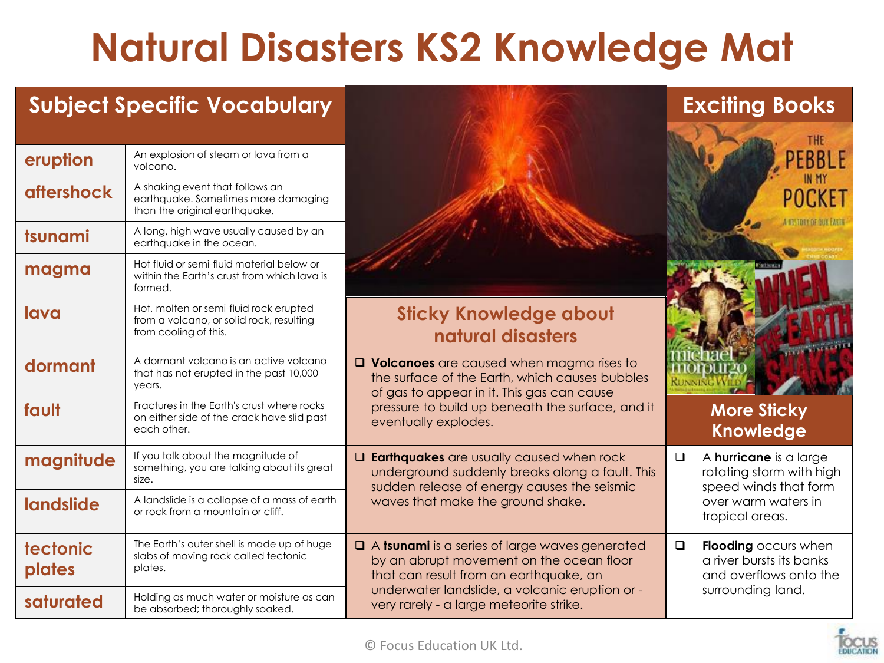## **Natural Disasters KS2 Knowledge Mat**

#### **Subject Specific Vocabulary Exciting Books**

| eruption           | An explosion of steam or lava from a<br>volcano.                                                            |                                                                                                                                                     |
|--------------------|-------------------------------------------------------------------------------------------------------------|-----------------------------------------------------------------------------------------------------------------------------------------------------|
| <b>aftershock</b>  | A shaking event that follows an<br>earthquake. Sometimes more damaging<br>than the original earthquake.     |                                                                                                                                                     |
| tsunami            | A long, high wave usually caused by an<br>earthquake in the ocean.                                          |                                                                                                                                                     |
| magma              | Hot fluid or semi-fluid material below or<br>within the Earth's crust from which lava is<br>formed.         |                                                                                                                                                     |
| lava               | Hot, molten or semi-fluid rock erupted<br>from a volcano, or solid rock, resulting<br>from cooling of this. | <b>Sticky Knowledge about</b><br>natural disasters                                                                                                  |
| dormant            | A dormant volcano is an active volcano<br>that has not erupted in the past 10,000<br>years.                 | $\Box$ Volcanoes are caused when magma rises to<br>the surface of the Earth, which causes bubbles<br>of gas to appear in it. This gas can cause     |
| fault              | Fractures in the Earth's crust where rocks<br>on either side of the crack have slid past<br>each other.     | pressure to build up beneath the surface, and it<br>eventually explodes.                                                                            |
| magnitude          | If you talk about the magnitude of<br>something, you are talking about its great<br>size.                   | <b>Q Earthquakes</b> are usually caused when rock<br>underground suddenly breaks along a fault. This<br>sudden release of energy causes the seismic |
| landslide          | A landslide is a collapse of a mass of earth<br>or rock from a mountain or cliff.                           | waves that make the ground shake.                                                                                                                   |
| tectonic<br>plates | The Earth's outer shell is made up of huge<br>slabs of moving rock called tectonic<br>plates.               | A tsunami is a series of large waves generated<br>by an abrupt movement on the ocean floor<br>that can result from an earthquake, an                |
| saturated          | Holding as much water or moisture as can<br>be absorbed; thoroughly soaked.                                 | underwater landslide, a volcanic eruption or -<br>very rarely - a large meteorite strike.                                                           |



#### **More Sticky Knowledge**

| <b>This</b> | A hurricane is a large<br>rotating storm with high<br>speed winds that form<br>over warm waters in<br>tropical areas. |
|-------------|-----------------------------------------------------------------------------------------------------------------------|
| эq          | Flooding occurs when<br>a river bursts its banks<br>and overflows onto the                                            |
|             | surrounding land.                                                                                                     |

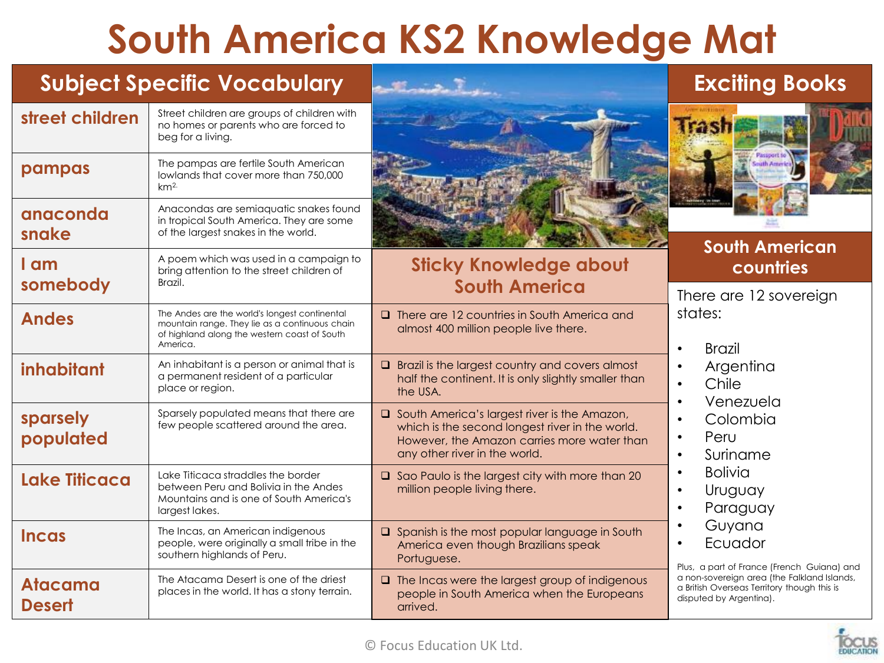## **South America KS2 Knowledge Mat**

#### **Subject Specific Vocabulary Exciting Books**

| street children                 | Street children are groups of children with<br>no homes or parents who are forced to<br>beg for a living.                                                   |                                                                                                                                                                                   |                                                                                                                       |
|---------------------------------|-------------------------------------------------------------------------------------------------------------------------------------------------------------|-----------------------------------------------------------------------------------------------------------------------------------------------------------------------------------|-----------------------------------------------------------------------------------------------------------------------|
| pampas                          | The pampas are fertile South American<br>lowlands that cover more than 750,000<br>km <sup>2</sup>                                                           |                                                                                                                                                                                   |                                                                                                                       |
| anaconda<br>snake               | Anacondas are semiaquatic snakes found<br>in tropical South America. They are some<br>of the largest snakes in the world.                                   |                                                                                                                                                                                   | <b>South American</b>                                                                                                 |
| I am<br>somebody                | A poem which was used in a campaign to<br>bring attention to the street children of<br>Brazil.                                                              | <b>Sticky Knowledge about</b><br><b>South America</b>                                                                                                                             | countries<br>There are 12 sovereign                                                                                   |
| <b>Andes</b>                    | The Andes are the world's longest continental<br>mountain range. They lie as a continuous chain<br>of highland along the western coast of South<br>America. | <b>Q</b> There are 12 countries in South America and<br>almost 400 million people live there.                                                                                     | states:<br><b>Brazil</b><br>$\bullet$                                                                                 |
| inhabitant                      | An inhabitant is a person or animal that is<br>a permanent resident of a particular<br>place or region.                                                     | $\Box$ Brazil is the largest country and covers almost<br>half the continent. It is only slightly smaller than<br>the USA.                                                        | Argentina<br>$\bullet$<br>Chile<br>$\bullet$<br>Venezuela<br>$\bullet$                                                |
| sparsely<br>populated           | Sparsely populated means that there are<br>few people scattered around the area.                                                                            | □ South America's largest river is the Amazon,<br>which is the second longest river in the world.<br>However, the Amazon carries more water than<br>any other river in the world. | Colombia<br>$\bullet$<br>Peru<br>$\bullet$<br>Suriname<br>$\bullet$                                                   |
| <b>Lake Titicaca</b>            | Lake Titicaca straddles the border<br>between Peru and Bolivia in the Andes<br>Mountains and is one of South America's<br>largest lakes.                    | $\Box$ Sao Paulo is the largest city with more than 20<br>million people living there.                                                                                            | <b>Bolivia</b><br>$\bullet$<br>Uruguay<br>$\bullet$<br>Paraguay<br>$\bullet$                                          |
| <b>Incas</b>                    | The Incas, an American indigenous<br>people, were originally a small tribe in the<br>southern highlands of Peru.                                            | $\Box$ Spanish is the most popular language in South<br>America even though Brazilians speak<br>Portuguese.                                                                       | Guyana<br>Ecuador<br>Plus, a part of France (French Guiana) and                                                       |
| <b>Atacama</b><br><b>Desert</b> | The Atacama Desert is one of the driest<br>places in the world. It has a stony terrain.                                                                     | $\Box$ The Incas were the largest group of indigenous<br>people in South America when the Europeans<br>arrived.                                                                   | a non-sovereign area (the Falkland Islands,<br>a British Overseas Territory though this is<br>disputed by Argentina). |

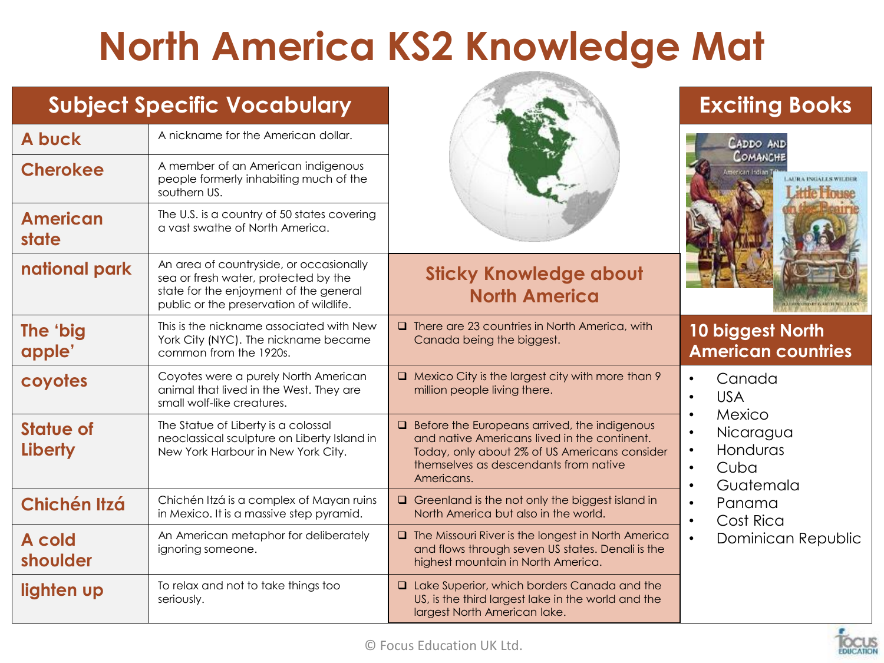## **North America KS2 Knowledge Mat**

|                             | <b>Subject Specific Vocabulary</b>                                                                                                                                   |                                                                                                                                                                                                             | <b>Exciting Books</b>                                                                                                 |
|-----------------------------|----------------------------------------------------------------------------------------------------------------------------------------------------------------------|-------------------------------------------------------------------------------------------------------------------------------------------------------------------------------------------------------------|-----------------------------------------------------------------------------------------------------------------------|
| A buck                      | A nickname for the American dollar.                                                                                                                                  |                                                                                                                                                                                                             | CADDO AND                                                                                                             |
| <b>Cherokee</b>             | A member of an American indigenous<br>people formerly inhabiting much of the<br>southern US.                                                                         |                                                                                                                                                                                                             | COMANCHE<br>Imerican Indian                                                                                           |
| <b>American</b><br>state    | The U.S. is a country of 50 states covering<br>a vast swathe of North America.                                                                                       |                                                                                                                                                                                                             |                                                                                                                       |
| national park               | An area of countryside, or occasionally<br>sea or fresh water, protected by the<br>state for the enjoyment of the general<br>public or the preservation of wildlife. | <b>Sticky Knowledge about</b><br><b>North America</b>                                                                                                                                                       | <b>BOTH REAL ARTH NEW LEASE</b>                                                                                       |
| The 'big<br>apple'          | This is the nickname associated with New<br>York City (NYC). The nickname became<br>common from the 1920s.                                                           | $\Box$ There are 23 countries in North America, with<br>Canada being the biggest.                                                                                                                           | 10 biggest North<br><b>American countries</b>                                                                         |
| coyotes                     | Coyotes were a purely North American<br>animal that lived in the West. They are<br>small wolf-like creatures.                                                        | $\Box$ Mexico City is the largest city with more than 9<br>million people living there.                                                                                                                     | Canada<br>$\bullet$<br><b>USA</b><br>$\bullet$                                                                        |
| <b>Statue of</b><br>Liberty | The Statue of Liberty is a colossal<br>neoclassical sculpture on Liberty Island in<br>New York Harbour in New York City.                                             | $\Box$ Before the Europeans arrived, the indigenous<br>and native Americans lived in the continent.<br>Today, only about 2% of US Americans consider<br>themselves as descendants from native<br>Americans. | Mexico<br>$\bullet$<br>Nicaragua<br>$\bullet$<br>Honduras<br>$\bullet$<br>Cuba<br>$\bullet$<br>Guatemala<br>$\bullet$ |
| Chichén Itzá                | Chichén Itzá is a complex of Mayan ruins<br>in Mexico. It is a massive step pyramid.                                                                                 | $\Box$ Greenland is the not only the biggest island in<br>North America but also in the world.                                                                                                              | Panama<br>$\bullet$<br>Cost Rica<br>$\bullet$                                                                         |
| A cold<br>shoulder          | An American metaphor for deliberately<br>ignoring someone.                                                                                                           | $\Box$ The Missouri River is the longest in North America<br>and flows through seven US states. Denali is the<br>highest mountain in North America.                                                         | Dominican Republic<br>$\bullet$                                                                                       |
| lighten up                  | To relax and not to take things too<br>seriously.                                                                                                                    | <b>Q</b> Lake Superior, which borders Canada and the<br>US, is the third largest lake in the world and the<br>largest North American lake.                                                                  |                                                                                                                       |

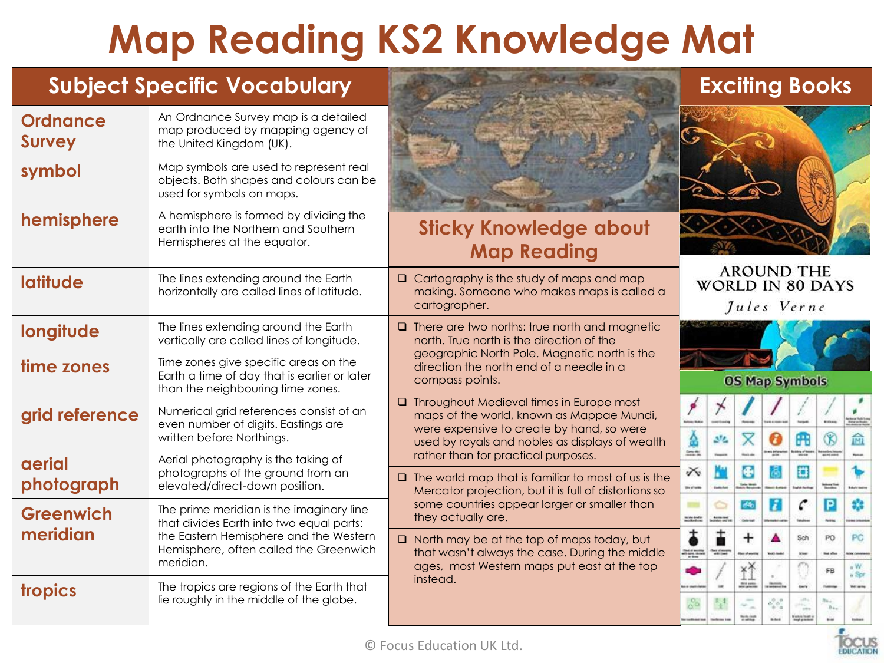# **Map Reading KS2 Knowledge Mat**

#### **Subject Specific Vocabulary Exciting Books**

| <b>Ordnance</b><br><b>Survey</b> | An Ordnance Survey map is a detailed<br>map produced by mapping agency of<br>the United Kingdom (UK).                                                                                 |                                                                                                                                                                                                                                                                                        |
|----------------------------------|---------------------------------------------------------------------------------------------------------------------------------------------------------------------------------------|----------------------------------------------------------------------------------------------------------------------------------------------------------------------------------------------------------------------------------------------------------------------------------------|
| symbol                           | Map symbols are used to represent real<br>objects. Both shapes and colours can be<br>used for symbols on maps.                                                                        |                                                                                                                                                                                                                                                                                        |
| hemisphere                       | A hemisphere is formed by dividing the<br>earth into the Northern and Southern<br>Hemispheres at the equator.                                                                         | <b>Sticky Knowledge about</b><br><b>Map Reading</b>                                                                                                                                                                                                                                    |
| <b>latitude</b>                  | The lines extending around the Earth<br>horizontally are called lines of latitude.                                                                                                    | <b>AROUND THE</b><br>$\Box$ Cartography is the study of maps and map<br><b>WORLD IN 80 DAYS</b><br>making. Someone who makes maps is called a<br>cartographer.<br>Jules Verne                                                                                                          |
| longitude                        | The lines extending around the Earth<br>vertically are called lines of longitude.                                                                                                     | $\Box$ There are two norths: true north and magnetic<br>north. True north is the direction of the                                                                                                                                                                                      |
| time zones                       | Time zones give specific areas on the<br>Earth a time of day that is earlier or later<br>than the neighbouring time zones.                                                            | geographic North Pole. Magnetic north is the<br>direction the north end of a needle in a<br><b>OS Map Symbols</b><br>compass points.                                                                                                                                                   |
| grid reference                   | Numerical grid references consist of an<br>even number of digits. Eastings are<br>written before Northings.                                                                           | <b>Q</b> Throughout Medieval times in Europe most<br>maps of the world, known as Mappae Mundi,<br><b>Group Kake</b><br>were expensive to create by hand, so were<br>Á<br>$\overline{\mathsf{x}}$<br>$\circledR$<br>Æ<br>$32 -$<br>Θ<br>used by royals and nobles as displays of wealth |
| aerial<br>photograph             | Aerial photography is the taking of<br>photographs of the ground from an<br>elevated/direct-down position.                                                                            | rather than for practical purposes.<br>KH I<br>G<br>O<br>$\times$<br>ô.<br>$\Box$ The world map that is familiar to most of us is the<br><b>Carlos Media</b><br><b>Month</b><br><b>Biochers</b><br>Mercator projection, but it is full of distortions so                               |
| <b>Greenwich</b><br>meridian     | The prime meridian is the imaginary line<br>that divides Earth into two equal parts:<br>the Eastern Hemisphere and the Western<br>Hemisphere, often called the Greenwich<br>meridian. | some countries appear larger or smaller than<br>C<br>$\overline{P}$<br>а<br>dio<br><b>STARS</b><br>they actually are.<br>minister<br><b>Colorado</b><br><b>Hotel</b>                                                                                                                   |
|                                  |                                                                                                                                                                                       | ŧ<br>t<br>$\ddot{}$<br>Sch<br>PO<br>$\Box$ North may be at the top of maps today, but<br>that wasn't always the case. During the middle<br>The distance<br>ngan<br><b>Not offer</b><br><b>KNR</b><br>ages, most Western maps put east at the top                                       |
| tropics                          | The tropics are regions of the Earth that<br>lie roughly in the middle of the globe.                                                                                                  | 丝<br>a Cha<br>FB<br>instead.<br>m.<br>office<br>16.2<br>50 <sup>o</sup><br>$\frac{1}{2}$                                                                                                                                                                                               |
|                                  |                                                                                                                                                                                       |                                                                                                                                                                                                                                                                                        |



×

俞 n. 1.

**MAY MAY** 

s,

PC

**Mary Color** 

 $aW$ 

 $n$  Spr

**Williams** 

 $\sim$ in me late